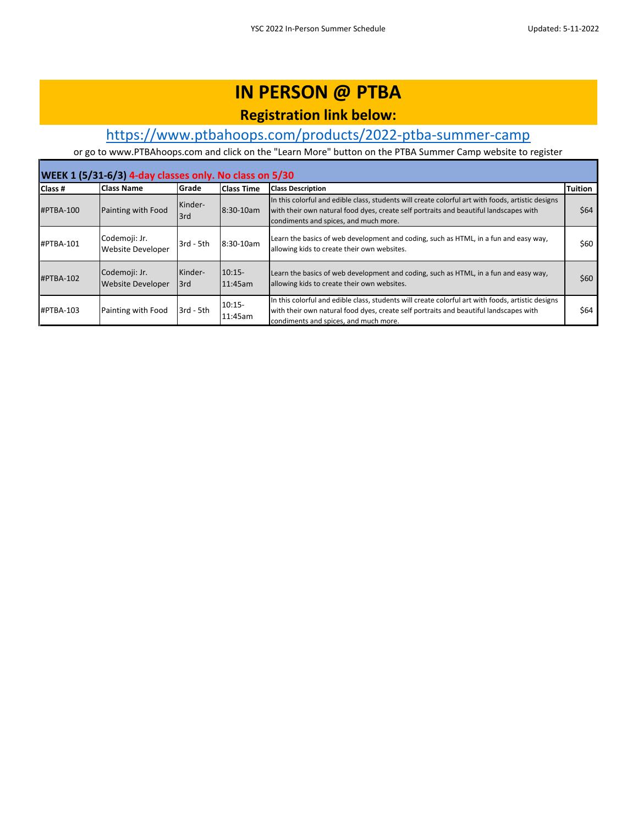### **Registration link below:**

### [h](https://www.ptbahoops.com/products/2022-ptba-summer-camp)ttps://www.ptbahoops.com/products/2022-ptba-summer-camp

| WEEK 1 (5/31-6/3) 4-day classes only. No class on 5/30 |                                           |                |                     |                                                                                                                                                                                                                                     |                |  |  |
|--------------------------------------------------------|-------------------------------------------|----------------|---------------------|-------------------------------------------------------------------------------------------------------------------------------------------------------------------------------------------------------------------------------------|----------------|--|--|
| Class #                                                | <b>Class Name</b>                         | Grade          | <b>Class Time</b>   | <b>Class Description</b>                                                                                                                                                                                                            | <b>Tuition</b> |  |  |
| #PTBA-100                                              | Painting with Food                        | Kinder-<br>3rd | 8:30-10am           | In this colorful and edible class, students will create colorful art with foods, artistic designs<br>with their own natural food dyes, create self portraits and beautiful landscapes with<br>condiments and spices, and much more. | \$64           |  |  |
| #PTBA-101                                              | Codemoji: Jr.<br><b>Website Developer</b> | 3rd - 5th      | 8:30-10am           | Learn the basics of web development and coding, such as HTML, in a fun and easy way,<br>allowing kids to create their own websites.                                                                                                 | \$60           |  |  |
| #PTBA-102                                              | Codemoji: Jr.<br><b>Website Developer</b> | Kinder-<br>3rd | $10:15-$<br>11:45am | Learn the basics of web development and coding, such as HTML, in a fun and easy way,<br>allowing kids to create their own websites.                                                                                                 | \$60           |  |  |
| $HPTBA-103$                                            | Painting with Food                        | 3rd - 5th      | $10:15-$<br>11:45am | In this colorful and edible class, students will create colorful art with foods, artistic designs<br>with their own natural food dyes, create self portraits and beautiful landscapes with<br>condiments and spices, and much more. | \$64           |  |  |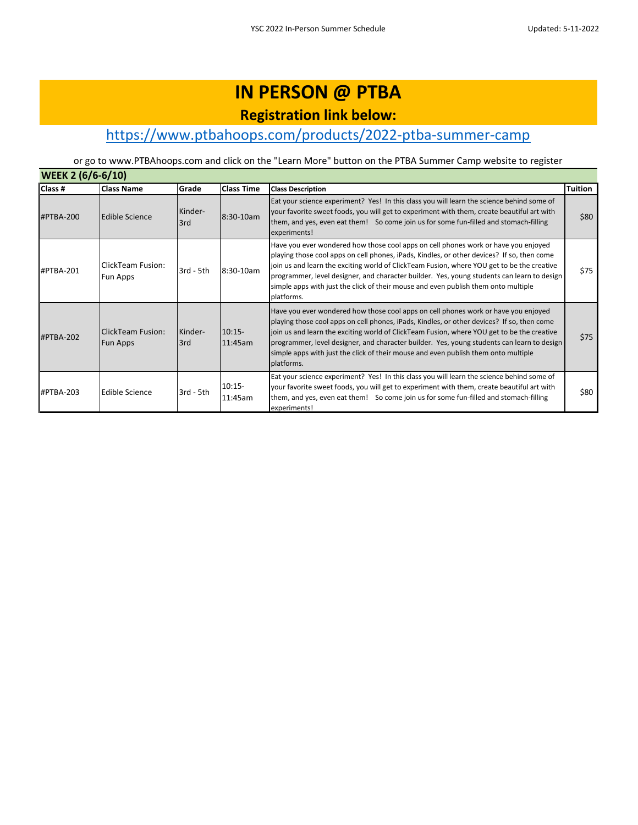## **IN PERSON @ PTBA Registration link below:**

### [h](https://www.ptbahoops.com/products/2022-ptba-summer-camp)ttps://www.ptbahoops.com/products/2022-ptba-summer-camp

| <b>WEEK 2 (6/6-6/10)</b> |                                             |                |                     |                                                                                                                                                                                                                                                                                                                                                                                                                                                                                  |         |  |  |
|--------------------------|---------------------------------------------|----------------|---------------------|----------------------------------------------------------------------------------------------------------------------------------------------------------------------------------------------------------------------------------------------------------------------------------------------------------------------------------------------------------------------------------------------------------------------------------------------------------------------------------|---------|--|--|
| Class #                  | <b>Class Name</b>                           | Grade          | <b>Class Time</b>   | <b>Class Description</b>                                                                                                                                                                                                                                                                                                                                                                                                                                                         | Tuition |  |  |
| #PTBA-200                | Edible Science                              | Kinder-<br>3rd | 8:30-10am           | Eat your science experiment? Yes! In this class you will learn the science behind some of<br>your favorite sweet foods, you will get to experiment with them, create beautiful art with<br>them, and yes, even eat them! So come join us for some fun-filled and stomach-filling<br>experiments!                                                                                                                                                                                 | \$80    |  |  |
| #PTBA-201                | ClickTeam Fusion:<br>Fun Apps               | 3rd - 5th      | 8:30-10am           | Have you ever wondered how those cool apps on cell phones work or have you enjoyed<br>playing those cool apps on cell phones, iPads, Kindles, or other devices? If so, then come<br>join us and learn the exciting world of ClickTeam Fusion, where YOU get to be the creative<br>programmer, level designer, and character builder. Yes, young students can learn to design<br>simple apps with just the click of their mouse and even publish them onto multiple<br>platforms. | \$75    |  |  |
| #PTBA-202                | <b>ClickTeam Fusion:</b><br><b>Fun Apps</b> | Kinder-<br>3rd | $10:15-$<br>11:45am | Have you ever wondered how those cool apps on cell phones work or have you enjoyed<br>playing those cool apps on cell phones, iPads, Kindles, or other devices? If so, then come<br>join us and learn the exciting world of ClickTeam Fusion, where YOU get to be the creative<br>programmer, level designer, and character builder. Yes, young students can learn to design<br>simple apps with just the click of their mouse and even publish them onto multiple<br>platforms. | \$75    |  |  |
| #PTBA-203                | <b>Edible Science</b>                       | 3rd - 5th      | $10:15-$<br>11:45am | Eat your science experiment? Yes! In this class you will learn the science behind some of<br>your favorite sweet foods, you will get to experiment with them, create beautiful art with<br>them, and yes, even eat them! So come join us for some fun-filled and stomach-filling<br>experiments!                                                                                                                                                                                 | \$80    |  |  |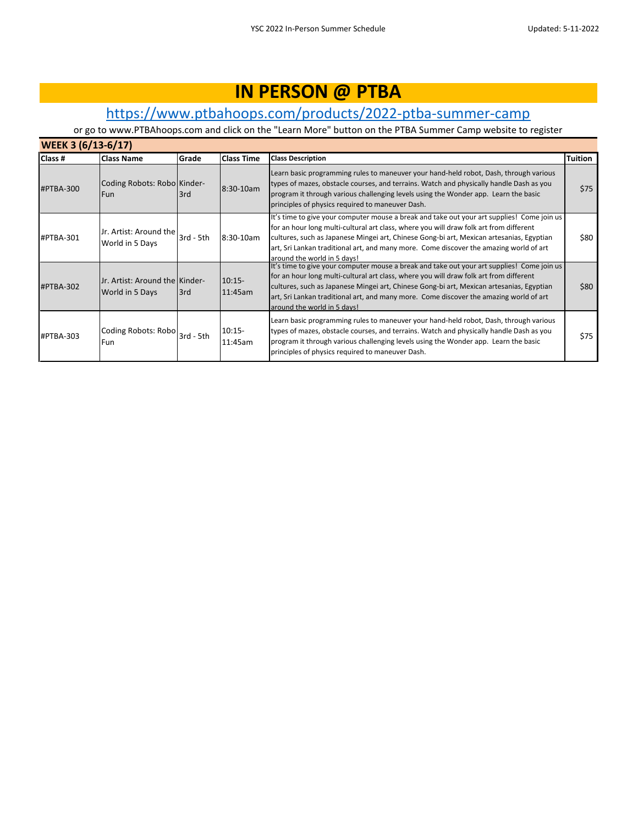### [h](https://www.ptbahoops.com/products/2022-ptba-summer-camp)ttps://www.ptbahoops.com/products/2022-ptba-summer-camp

| <b>WEEK 3 (6/13-6/17)</b> |                                                   |             |                     |                                                                                                                                                                                                                                                                                                                                                                                                           |         |  |  |  |
|---------------------------|---------------------------------------------------|-------------|---------------------|-----------------------------------------------------------------------------------------------------------------------------------------------------------------------------------------------------------------------------------------------------------------------------------------------------------------------------------------------------------------------------------------------------------|---------|--|--|--|
| Class #                   | <b>Class Name</b>                                 | Grade       | <b>Class Time</b>   | <b>Class Description</b>                                                                                                                                                                                                                                                                                                                                                                                  | Tuition |  |  |  |
| #PTBA-300                 | Coding Robots: Robo Kinder-<br>Fun                | 3rd         | 8:30-10am           | Learn basic programming rules to maneuver your hand-held robot, Dash, through various<br>types of mazes, obstacle courses, and terrains. Watch and physically handle Dash as you<br>program it through various challenging levels using the Wonder app. Learn the basic<br>principles of physics required to maneuver Dash.                                                                               | \$75    |  |  |  |
| #PTBA-301                 | Jr. Artist: Around the<br>World in 5 Days         | $3rd - 5th$ | 8:30-10am           | It's time to give your computer mouse a break and take out your art supplies! Come join us<br>for an hour long multi-cultural art class, where you will draw folk art from different<br>cultures, such as Japanese Mingei art, Chinese Gong-bi art, Mexican artesanias, Egyptian<br>art, Sri Lankan traditional art, and many more. Come discover the amazing world of art<br>around the world in 5 days! | \$80    |  |  |  |
| #PTBA-302                 | Jr. Artist: Around the Kinder-<br>World in 5 Days | 3rd         | $10:15-$<br>11:45am | It's time to give your computer mouse a break and take out your art supplies! Come join us<br>for an hour long multi-cultural art class, where you will draw folk art from different<br>cultures, such as Japanese Mingei art, Chinese Gong-bi art, Mexican artesanias, Egyptian<br>art, Sri Lankan traditional art, and many more. Come discover the amazing world of art<br>around the world in 5 days! | \$80    |  |  |  |
| #PTBA-303                 | Coding Robots: Robo<br>Fun                        | $3rd - 5th$ | $10:15-$<br>11:45am | Learn basic programming rules to maneuver your hand-held robot, Dash, through various<br>types of mazes, obstacle courses, and terrains. Watch and physically handle Dash as you<br>program it through various challenging levels using the Wonder app. Learn the basic<br>principles of physics required to maneuver Dash.                                                                               | \$75    |  |  |  |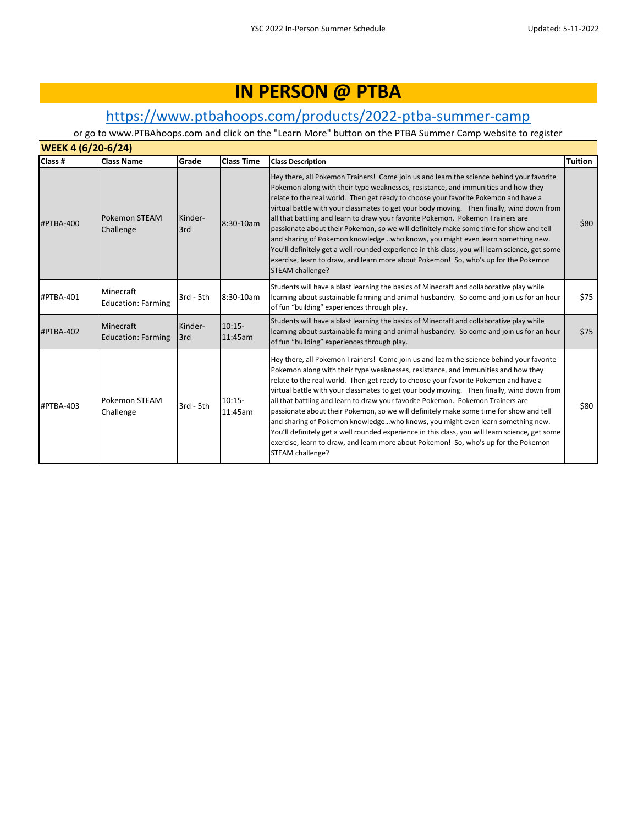### [h](https://www.ptbahoops.com/products/2022-ptba-summer-camp)ttps://www.ptbahoops.com/products/2022-ptba-summer-camp

| Class #   | <b>Class Name</b>                      | Grade           | <b>Class Time</b>   | <b>Class Description</b>                                                                                                                                                                                                                                                                                                                                                                                                                                                                                                                                                                                                                                                                                                                                                                                                                       | <b>Tuition</b> |
|-----------|----------------------------------------|-----------------|---------------------|------------------------------------------------------------------------------------------------------------------------------------------------------------------------------------------------------------------------------------------------------------------------------------------------------------------------------------------------------------------------------------------------------------------------------------------------------------------------------------------------------------------------------------------------------------------------------------------------------------------------------------------------------------------------------------------------------------------------------------------------------------------------------------------------------------------------------------------------|----------------|
| #PTBA-400 | <b>Pokemon STEAM</b><br>Challenge      | Kinder-<br>3rd  | 8:30-10am           | Hey there, all Pokemon Trainers! Come join us and learn the science behind your favorite<br>Pokemon along with their type weaknesses, resistance, and immunities and how they<br>relate to the real world. Then get ready to choose your favorite Pokemon and have a<br>virtual battle with your classmates to get your body moving. Then finally, wind down from<br>all that battling and learn to draw your favorite Pokemon. Pokemon Trainers are<br>passionate about their Pokemon, so we will definitely make some time for show and tell<br>and sharing of Pokemon knowledgewho knows, you might even learn something new.<br>You'll definitely get a well rounded experience in this class, you will learn science, get some<br>exercise, learn to draw, and learn more about Pokemon! So, who's up for the Pokemon<br>STEAM challenge? | \$80           |
| #PTBA-401 | Minecraft<br><b>Education: Farming</b> | 3rd - 5th       | 8:30-10am           | Students will have a blast learning the basics of Minecraft and collaborative play while<br>learning about sustainable farming and animal husbandry. So come and join us for an hour<br>of fun "building" experiences through play.                                                                                                                                                                                                                                                                                                                                                                                                                                                                                                                                                                                                            | \$75           |
| #PTBA-402 | Minecraft<br><b>Education: Farming</b> | Kinder-<br>13rd | $10:15-$<br>11:45am | Students will have a blast learning the basics of Minecraft and collaborative play while<br>learning about sustainable farming and animal husbandry. So come and join us for an hour<br>of fun "building" experiences through play.                                                                                                                                                                                                                                                                                                                                                                                                                                                                                                                                                                                                            | \$75           |
| #PTBA-403 | Pokemon STEAM<br>Challenge             | 3rd - 5th       | $10:15-$<br>11:45am | Hey there, all Pokemon Trainers! Come join us and learn the science behind your favorite<br>Pokemon along with their type weaknesses, resistance, and immunities and how they<br>relate to the real world. Then get ready to choose your favorite Pokemon and have a<br>virtual battle with your classmates to get your body moving. Then finally, wind down from<br>all that battling and learn to draw your favorite Pokemon. Pokemon Trainers are<br>passionate about their Pokemon, so we will definitely make some time for show and tell<br>and sharing of Pokemon knowledgewho knows, you might even learn something new.<br>You'll definitely get a well rounded experience in this class, you will learn science, get some<br>exercise, learn to draw, and learn more about Pokemon! So, who's up for the Pokemon<br>STEAM challenge? | \$80           |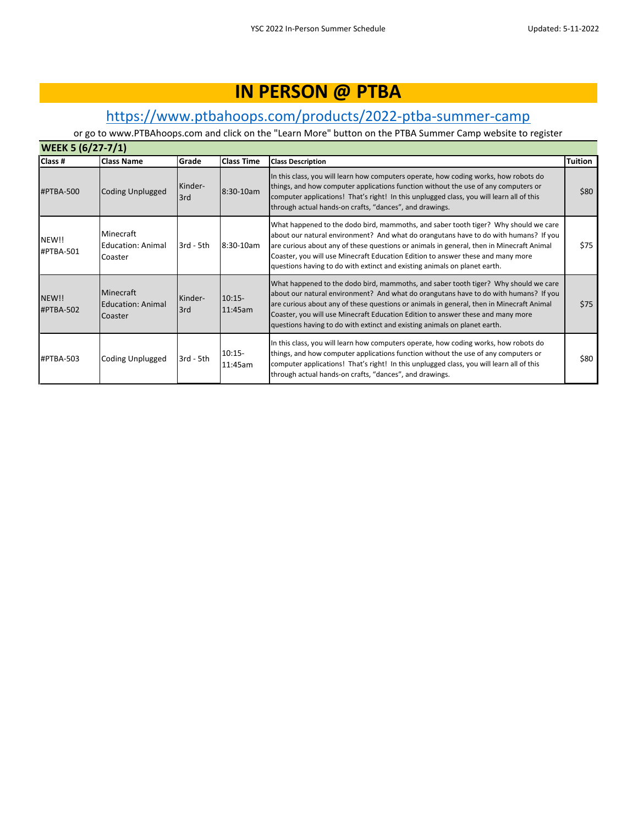### [h](https://www.ptbahoops.com/products/2022-ptba-summer-camp)ttps://www.ptbahoops.com/products/2022-ptba-summer-camp

| <b>WEEK 5 (6/27-7/1)</b> |                                                  |                |                     |                                                                                                                                                                                                                                                                                                                                                                                                                                         |                |  |
|--------------------------|--------------------------------------------------|----------------|---------------------|-----------------------------------------------------------------------------------------------------------------------------------------------------------------------------------------------------------------------------------------------------------------------------------------------------------------------------------------------------------------------------------------------------------------------------------------|----------------|--|
| Class #                  | <b>Class Name</b>                                | Grade          | <b>Class Time</b>   | <b>Class Description</b>                                                                                                                                                                                                                                                                                                                                                                                                                | <b>Tuition</b> |  |
| #PTBA-500                | Coding Unplugged                                 | Kinder-<br>3rd | $8:30 - 10am$       | In this class, you will learn how computers operate, how coding works, how robots do<br>things, and how computer applications function without the use of any computers or<br>computer applications! That's right! In this unplugged class, you will learn all of this<br>through actual hands-on crafts, "dances", and drawings.                                                                                                       | \$80           |  |
| NEW!!<br>#PTBA-501       | Minecraft<br><b>Education: Animal</b><br>Coaster | $3rd - 5th$    | 8:30-10am           | What happened to the dodo bird, mammoths, and saber tooth tiger? Why should we care<br>about our natural environment? And what do orangutans have to do with humans? If you<br>are curious about any of these questions or animals in general, then in Minecraft Animal<br>Coaster, you will use Minecraft Education Edition to answer these and many more<br>questions having to do with extinct and existing animals on planet earth. | \$75           |  |
| NEW!!<br>#PTBA-502       | Minecraft<br>Education: Animal<br>Coaster        | Kinder-<br>3rd | $10:15-$<br>11:45am | What happened to the dodo bird, mammoths, and saber tooth tiger? Why should we care<br>about our natural environment? And what do orangutans have to do with humans? If you<br>are curious about any of these questions or animals in general, then in Minecraft Animal<br>Coaster, you will use Minecraft Education Edition to answer these and many more<br>questions having to do with extinct and existing animals on planet earth. | \$75           |  |
| #PTBA-503                | Coding Unplugged                                 | $3rd - 5th$    | $10:15-$<br>11:45am | In this class, you will learn how computers operate, how coding works, how robots do<br>things, and how computer applications function without the use of any computers or<br>computer applications! That's right! In this unplugged class, you will learn all of this<br>through actual hands-on crafts, "dances", and drawings.                                                                                                       | \$80           |  |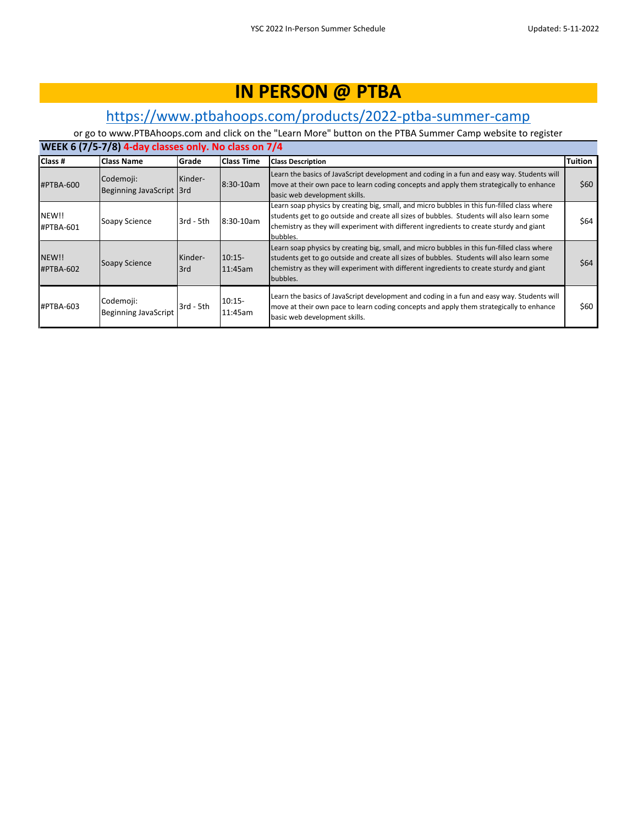### [h](https://www.ptbahoops.com/products/2022-ptba-summer-camp)ttps://www.ptbahoops.com/products/2022-ptba-summer-camp

| WEEK 6 (7/5-7/8) 4-day classes only. No class on 7/4 |                                          |                |                     |                                                                                                                                                                                                                                                                                                 |                |  |  |  |
|------------------------------------------------------|------------------------------------------|----------------|---------------------|-------------------------------------------------------------------------------------------------------------------------------------------------------------------------------------------------------------------------------------------------------------------------------------------------|----------------|--|--|--|
| Class #                                              | <b>Class Name</b>                        | Grade          | <b>Class Time</b>   | <b>Class Description</b>                                                                                                                                                                                                                                                                        | <b>Tuition</b> |  |  |  |
| #PTBA-600                                            | Codemoji:<br>Beginning JavaScript 3rd    | Kinder-        | 8:30-10am           | Learn the basics of JavaScript development and coding in a fun and easy way. Students will<br>move at their own pace to learn coding concepts and apply them strategically to enhance<br>basic web development skills.                                                                          | \$60           |  |  |  |
| NEW!!<br>#PTBA-601                                   | Soapy Science                            | 3rd - 5th      | 8:30-10am           | Learn soap physics by creating big, small, and micro bubbles in this fun-filled class where<br>students get to go outside and create all sizes of bubbles. Students will also learn some<br>chemistry as they will experiment with different ingredients to create sturdy and giant<br>bubbles. | \$64           |  |  |  |
| NEW!!<br>#PTBA-602                                   | Soapy Science                            | Kinder-<br>3rd | $10:15-$<br>11:45am | Learn soap physics by creating big, small, and micro bubbles in this fun-filled class where<br>students get to go outside and create all sizes of bubbles. Students will also learn some<br>chemistry as they will experiment with different ingredients to create sturdy and giant<br>bubbles. | \$64           |  |  |  |
| #PTBA-603                                            | Codemoji:<br><b>Beginning JavaScript</b> | 3rd - 5th      | $10:15-$<br>11:45am | Learn the basics of JavaScript development and coding in a fun and easy way. Students will<br>move at their own pace to learn coding concepts and apply them strategically to enhance<br>basic web development skills.                                                                          | \$60           |  |  |  |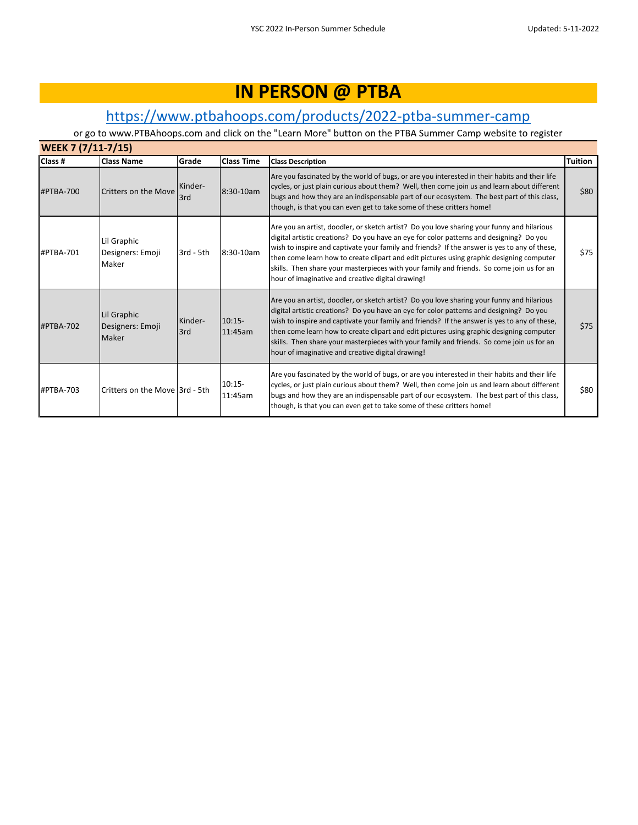### [h](https://www.ptbahoops.com/products/2022-ptba-summer-camp)ttps://www.ptbahoops.com/products/2022-ptba-summer-camp

| WEEK 7 (7/11-7/15) |                                          |                |                     |                                                                                                                                                                                                                                                                                                                                                                                                                                                                                                                                     |         |  |  |
|--------------------|------------------------------------------|----------------|---------------------|-------------------------------------------------------------------------------------------------------------------------------------------------------------------------------------------------------------------------------------------------------------------------------------------------------------------------------------------------------------------------------------------------------------------------------------------------------------------------------------------------------------------------------------|---------|--|--|
| Class #            | <b>Class Name</b>                        | Grade          | <b>Class Time</b>   | <b>Class Description</b>                                                                                                                                                                                                                                                                                                                                                                                                                                                                                                            | Tuition |  |  |
| #PTBA-700          | Critters on the Move                     | Kinder-<br>3rd | 8:30-10am           | Are you fascinated by the world of bugs, or are you interested in their habits and their life<br>cycles, or just plain curious about them? Well, then come join us and learn about different<br>bugs and how they are an indispensable part of our ecosystem. The best part of this class,<br>though, is that you can even get to take some of these critters home!                                                                                                                                                                 | \$80    |  |  |
| #PTBA-701          | Lil Graphic<br>Designers: Emoji<br>Maker | $3rd - 5th$    | 8:30-10am           | Are you an artist, doodler, or sketch artist? Do you love sharing your funny and hilarious<br>digital artistic creations? Do you have an eye for color patterns and designing? Do you<br>wish to inspire and captivate your family and friends? If the answer is yes to any of these,<br>then come learn how to create clipart and edit pictures using graphic designing computer<br>skills. Then share your masterpieces with your family and friends. So come join us for an<br>hour of imaginative and creative digital drawing! | \$75    |  |  |
| #PTBA-702          | Lil Graphic<br>Designers: Emoji<br>Maker | Kinder-<br>3rd | $10:15-$<br>11:45am | Are you an artist, doodler, or sketch artist? Do you love sharing your funny and hilarious<br>digital artistic creations? Do you have an eye for color patterns and designing? Do you<br>wish to inspire and captivate your family and friends? If the answer is yes to any of these,<br>then come learn how to create clipart and edit pictures using graphic designing computer<br>skills. Then share your masterpieces with your family and friends. So come join us for an<br>hour of imaginative and creative digital drawing! | \$75    |  |  |
| #PTBA-703          | Critters on the Move 3rd - 5th           |                | $10:15-$<br>11:45am | Are you fascinated by the world of bugs, or are you interested in their habits and their life<br>cycles, or just plain curious about them? Well, then come join us and learn about different<br>bugs and how they are an indispensable part of our ecosystem. The best part of this class,<br>though, is that you can even get to take some of these critters home!                                                                                                                                                                 | \$80    |  |  |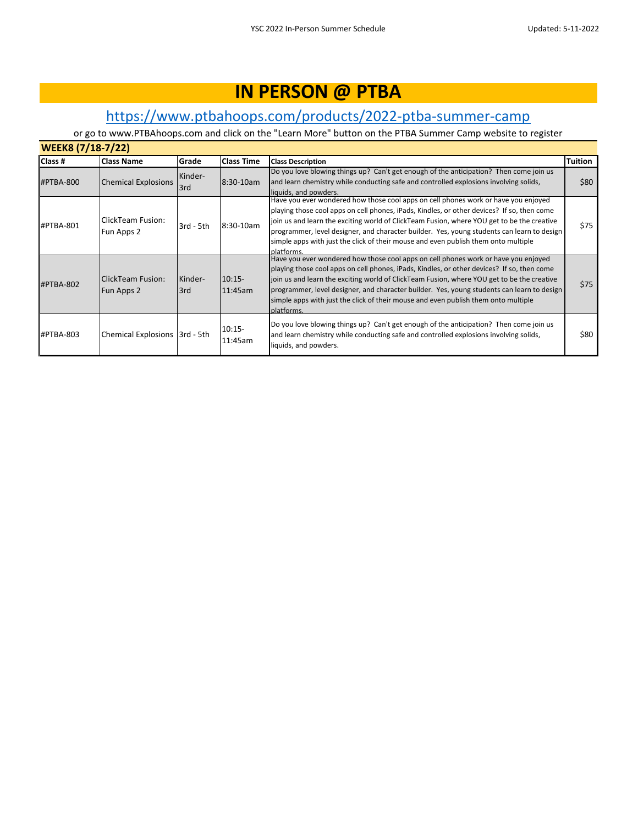### [h](https://www.ptbahoops.com/products/2022-ptba-summer-camp)ttps://www.ptbahoops.com/products/2022-ptba-summer-camp

| <b>WEEK8 (7/18-7/22)</b> |                                 |           |                     |                                                                                                                                                                                                          |         |  |  |  |
|--------------------------|---------------------------------|-----------|---------------------|----------------------------------------------------------------------------------------------------------------------------------------------------------------------------------------------------------|---------|--|--|--|
| Class #                  | <b>Class Name</b>               | Grade     | <b>Class Time</b>   | <b>Class Description</b>                                                                                                                                                                                 | Tuition |  |  |  |
|                          |                                 | Kinder-   |                     | Do you love blowing things up? Can't get enough of the anticipation? Then come join us                                                                                                                   |         |  |  |  |
| #PTBA-800                | <b>Chemical Explosions</b>      | 3rd       | 8:30-10am           | and learn chemistry while conducting safe and controlled explosions involving solids,                                                                                                                    | \$80    |  |  |  |
|                          |                                 |           |                     | liquids, and powders.                                                                                                                                                                                    |         |  |  |  |
|                          |                                 |           |                     | Have you ever wondered how those cool apps on cell phones work or have you enjoyed                                                                                                                       |         |  |  |  |
|                          |                                 |           |                     | playing those cool apps on cell phones, iPads, Kindles, or other devices? If so, then come                                                                                                               |         |  |  |  |
| #PTBA-801                | ClickTeam Fusion:               | 3rd - 5th | $8:30-10am$         | join us and learn the exciting world of ClickTeam Fusion, where YOU get to be the creative                                                                                                               | \$75    |  |  |  |
|                          | Fun Apps 2                      |           |                     | programmer, level designer, and character builder. Yes, young students can learn to design                                                                                                               |         |  |  |  |
|                          |                                 |           |                     | simple apps with just the click of their mouse and even publish them onto multiple                                                                                                                       |         |  |  |  |
|                          |                                 |           |                     | platforms.                                                                                                                                                                                               |         |  |  |  |
|                          |                                 |           |                     | Have you ever wondered how those cool apps on cell phones work or have you enjoyed                                                                                                                       |         |  |  |  |
|                          |                                 |           |                     | playing those cool apps on cell phones, iPads, Kindles, or other devices? If so, then come                                                                                                               |         |  |  |  |
| #PTBA-802                | ClickTeam Fusion:               | Kinder-   | $10:15-$            | join us and learn the exciting world of ClickTeam Fusion, where YOU get to be the creative                                                                                                               | \$75    |  |  |  |
|                          | Fun Apps 2                      | 3rd       | 11:45am             | programmer, level designer, and character builder. Yes, young students can learn to design                                                                                                               |         |  |  |  |
|                          |                                 |           |                     | simple apps with just the click of their mouse and even publish them onto multiple                                                                                                                       |         |  |  |  |
|                          |                                 |           |                     | platforms.                                                                                                                                                                                               |         |  |  |  |
| #PTBA-803                | Chemical Explosions   3rd - 5th |           | $10:15-$<br>11:45am | Do you love blowing things up? Can't get enough of the anticipation? Then come join us<br>and learn chemistry while conducting safe and controlled explosions involving solids,<br>liquids, and powders. | \$80    |  |  |  |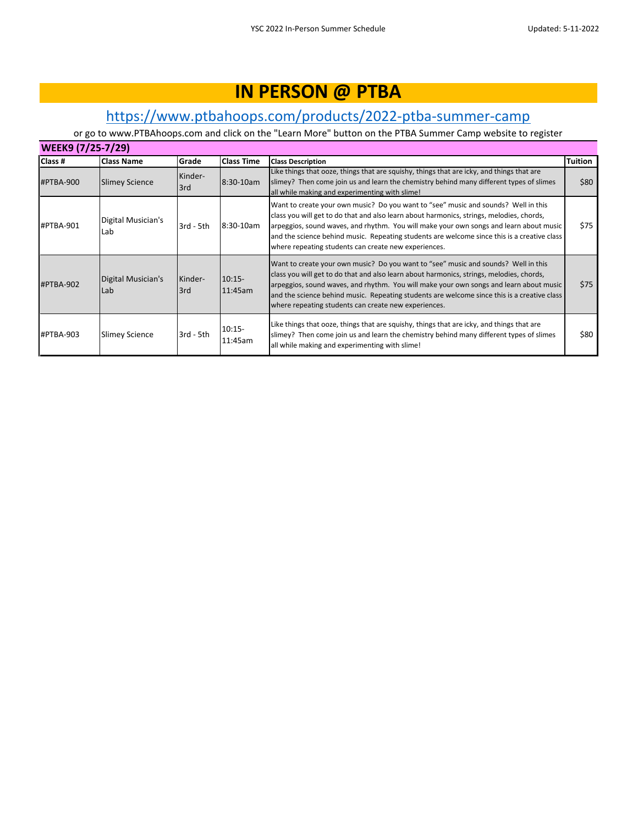### [h](https://www.ptbahoops.com/products/2022-ptba-summer-camp)ttps://www.ptbahoops.com/products/2022-ptba-summer-camp

| WEEK9 (7/25-7/29) |                           |                |                     |                                                                                                                                                                                                                                                                                                                                                                                                                                 |         |  |  |  |
|-------------------|---------------------------|----------------|---------------------|---------------------------------------------------------------------------------------------------------------------------------------------------------------------------------------------------------------------------------------------------------------------------------------------------------------------------------------------------------------------------------------------------------------------------------|---------|--|--|--|
| Class #           | <b>Class Name</b>         | Grade          | <b>Class Time</b>   | <b>Class Description</b>                                                                                                                                                                                                                                                                                                                                                                                                        | Tuition |  |  |  |
| #PTBA-900         | <b>Slimey Science</b>     | Kinder-<br>3rd | 8:30-10am           | Like things that ooze, things that are squishy, things that are icky, and things that are<br>slimey? Then come join us and learn the chemistry behind many different types of slimes<br>all while making and experimenting with slime!                                                                                                                                                                                          | \$80    |  |  |  |
| #PTBA-901         | Digital Musician's<br>Lab | $3rd - 5th$    | 8:30-10am           | Want to create your own music? Do you want to "see" music and sounds? Well in this<br>class you will get to do that and also learn about harmonics, strings, melodies, chords,<br>arpeggios, sound waves, and rhythm. You will make your own songs and learn about music<br>and the science behind music. Repeating students are welcome since this is a creative class<br>where repeating students can create new experiences. | \$75    |  |  |  |
| #PTBA-902         | Digital Musician's<br>Lab | Kinder-<br>3rd | $10:15-$<br>11:45am | Want to create your own music? Do you want to "see" music and sounds? Well in this<br>class you will get to do that and also learn about harmonics, strings, melodies, chords,<br>arpeggios, sound waves, and rhythm. You will make your own songs and learn about music<br>and the science behind music. Repeating students are welcome since this is a creative class<br>where repeating students can create new experiences. | \$75    |  |  |  |
| #PTBA-903         | <b>Slimey Science</b>     | $3rd - 5th$    | $10:15-$<br>11:45am | Like things that ooze, things that are squishy, things that are icky, and things that are<br>slimey? Then come join us and learn the chemistry behind many different types of slimes<br>all while making and experimenting with slime!                                                                                                                                                                                          | \$80    |  |  |  |